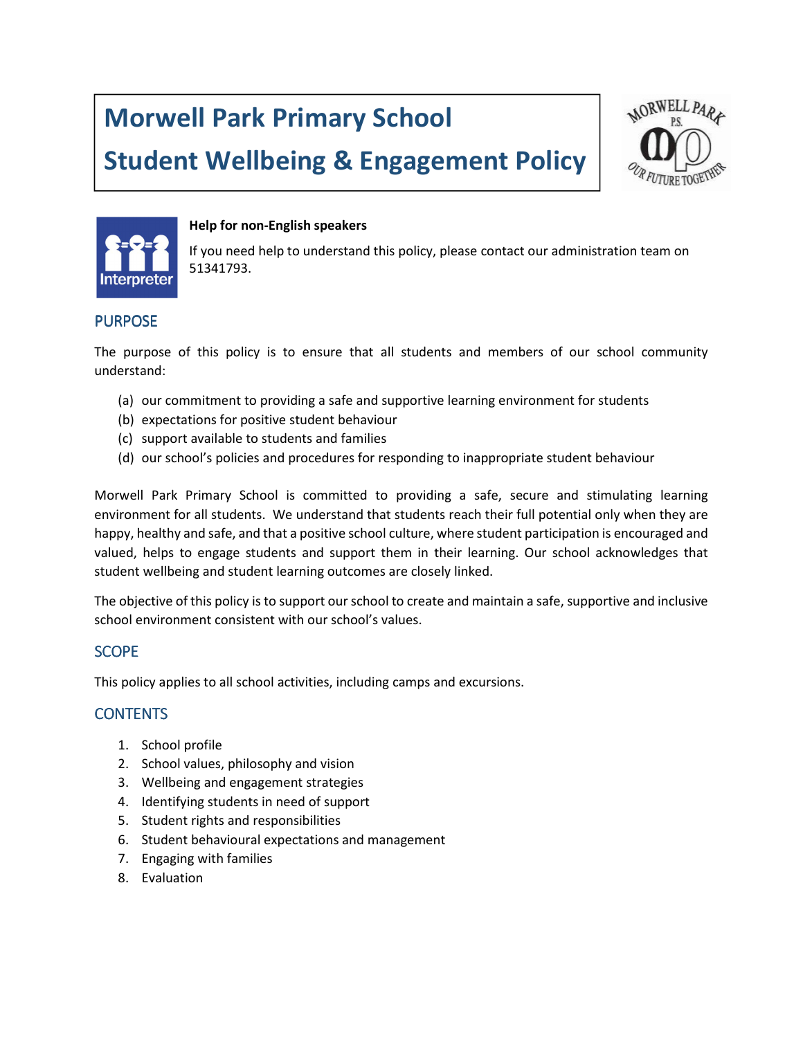# Morwell Park Primary School

## Student Wellbeing & Engagement Policy





#### Help for non-English speakers

If you need help to understand this policy, please contact our administration team on 51341793.

## PURPOSE

The purpose of this policy is to ensure that all students and members of our school community understand:

- (a) our commitment to providing a safe and supportive learning environment for students
- (b) expectations for positive student behaviour
- (c) support available to students and families
- (d) our school's policies and procedures for responding to inappropriate student behaviour

Morwell Park Primary School is committed to providing a safe, secure and stimulating learning environment for all students. We understand that students reach their full potential only when they are happy, healthy and safe, and that a positive school culture, where student participation is encouraged and valued, helps to engage students and support them in their learning. Our school acknowledges that student wellbeing and student learning outcomes are closely linked.

The objective of this policy is to support our school to create and maintain a safe, supportive and inclusive school environment consistent with our school's values.

## **SCOPE**

This policy applies to all school activities, including camps and excursions.

## **CONTENTS**

- 1. School profile
- 2. School values, philosophy and vision
- 3. Wellbeing and engagement strategies
- 4. Identifying students in need of support
- 5. Student rights and responsibilities
- 6. Student behavioural expectations and management
- 7. Engaging with families
- 8. Evaluation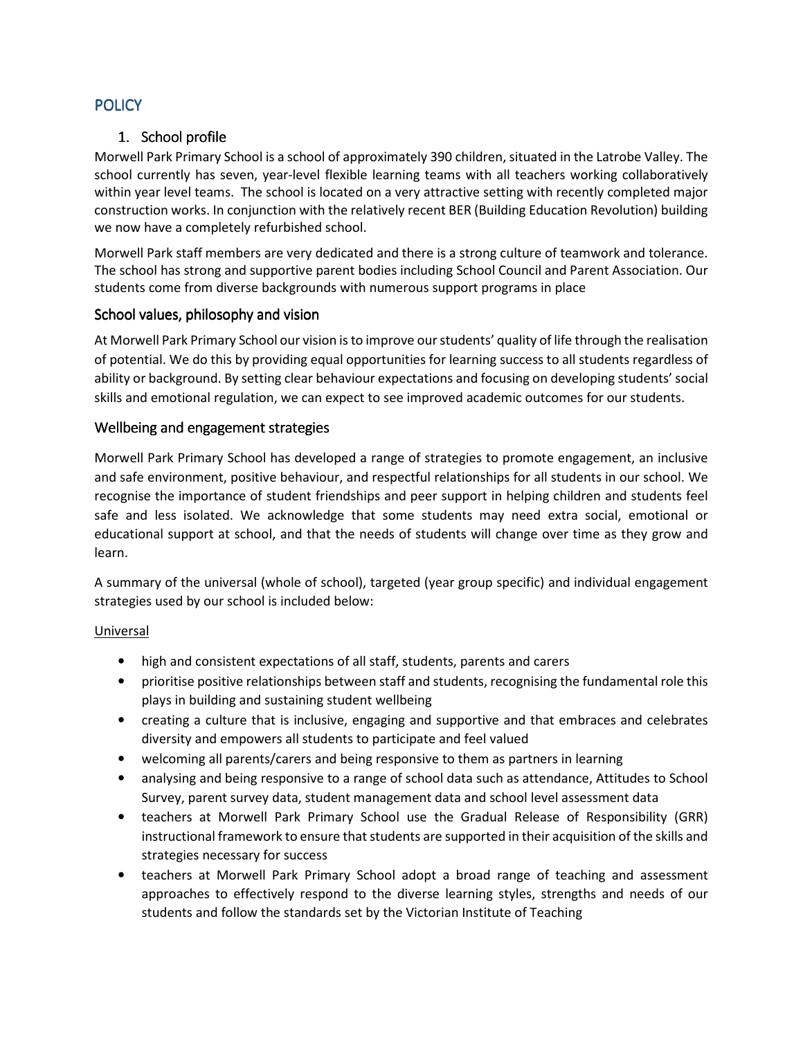## **POLICY**

## 1. School profile

Morwell Park Primary School is a school of approximately 390 children, situated in the Latrobe Valley. The school currently has seven, year-level flexible learning teams with all teachers working collaboratively within year level teams. The school is located on a very attractive setting with recently completed major construction works. In conjunction with the relatively recent BER (Building Education Revolution) building we now have a completely refurbished school.

Morwell Park staff members are very dedicated and there is a strong culture of teamwork and tolerance. The school has strong and supportive parent bodies including School Council and Parent Association. Our students come from diverse backgrounds with numerous support programs in place

## School values, philosophy and vision

At Morwell Park Primary School our vision is to improve our students' quality of life through the realisation of potential. We do this by providing equal opportunities for learning success to all students regardless of ability or background. By setting clear behaviour expectations and focusing on developing students' social skills and emotional regulation, we can expect to see improved academic outcomes for our students.

## Wellbeing and engagement strategies

Morwell Park Primary School has developed a range of strategies to promote engagement, an inclusive and safe environment, positive behaviour, and respectful relationships for all students in our school. We recognise the importance of student friendships and peer support in helping children and students feel safe and less isolated. We acknowledge that some students may need extra social, emotional or educational support at school, and that the needs of students will change over time as they grow and learn.

A summary of the universal (whole of school), targeted (year group specific) and individual engagement strategies used by our school is included below:

#### Universal

- high and consistent expectations of all staff, students, parents and carers
- prioritise positive relationships between staff and students, recognising the fundamental role this plays in building and sustaining student wellbeing
- creating a culture that is inclusive, engaging and supportive and that embraces and celebrates diversity and empowers all students to participate and feel valued
- welcoming all parents/carers and being responsive to them as partners in learning
- analysing and being responsive to a range of school data such as attendance, Attitudes to School Survey, parent survey data, student management data and school level assessment data
- teachers at Morwell Park Primary School use the Gradual Release of Responsibility (GRR) instructional framework to ensure that students are supported in their acquisition of the skills and strategies necessary for success
- teachers at Morwell Park Primary School adopt a broad range of teaching and assessment approaches to effectively respond to the diverse learning styles, strengths and needs of our students and follow the standards set by the Victorian Institute of Teaching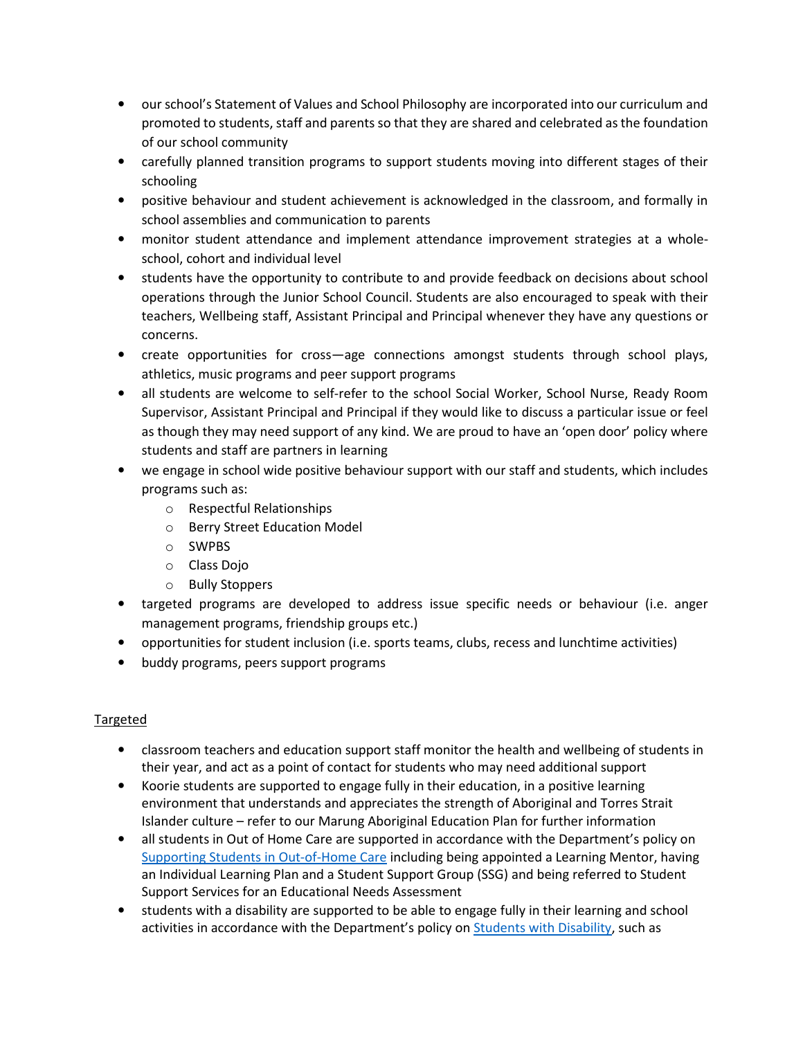- our school's Statement of Values and School Philosophy are incorporated into our curriculum and promoted to students, staff and parents so that they are shared and celebrated as the foundation of our school community
- carefully planned transition programs to support students moving into different stages of their schooling
- positive behaviour and student achievement is acknowledged in the classroom, and formally in school assemblies and communication to parents
- monitor student attendance and implement attendance improvement strategies at a wholeschool, cohort and individual level
- students have the opportunity to contribute to and provide feedback on decisions about school operations through the Junior School Council. Students are also encouraged to speak with their teachers, Wellbeing staff, Assistant Principal and Principal whenever they have any questions or concerns.
- create opportunities for cross—age connections amongst students through school plays, athletics, music programs and peer support programs
- all students are welcome to self-refer to the school Social Worker, School Nurse, Ready Room Supervisor, Assistant Principal and Principal if they would like to discuss a particular issue or feel as though they may need support of any kind. We are proud to have an 'open door' policy where students and staff are partners in learning
- we engage in school wide positive behaviour support with our staff and students, which includes programs such as:
	- o Respectful Relationships
	- o Berry Street Education Model
	- o SWPBS
	- o Class Dojo
	- o Bully Stoppers
- targeted programs are developed to address issue specific needs or behaviour (i.e. anger management programs, friendship groups etc.)
- opportunities for student inclusion (i.e. sports teams, clubs, recess and lunchtime activities)
- buddy programs, peers support programs

## Targeted

- classroom teachers and education support staff monitor the health and wellbeing of students in their year, and act as a point of contact for students who may need additional support
- Koorie students are supported to engage fully in their education, in a positive learning environment that understands and appreciates the strength of Aboriginal and Torres Strait Islander culture – refer to our Marung Aboriginal Education Plan for further information
- all students in Out of Home Care are supported in accordance with the Department's policy on Supporting Students in Out-of-Home Care including being appointed a Learning Mentor, having an Individual Learning Plan and a Student Support Group (SSG) and being referred to Student Support Services for an Educational Needs Assessment
- students with a disability are supported to be able to engage fully in their learning and school activities in accordance with the Department's policy on Students with Disability, such as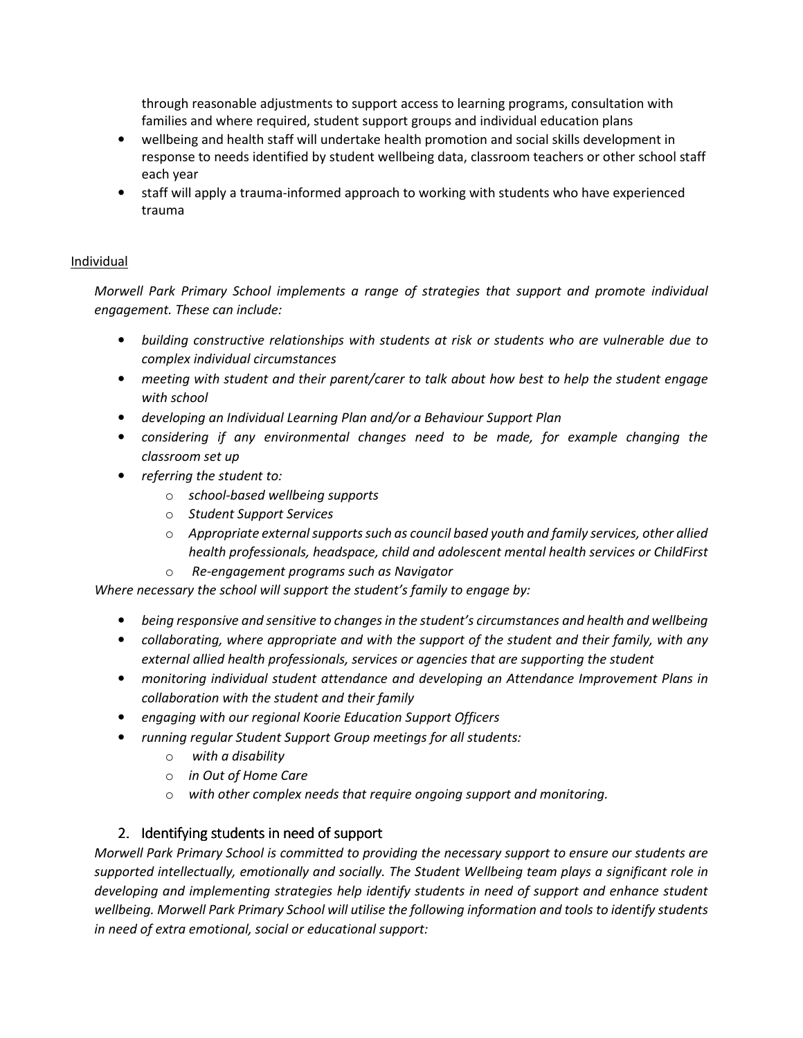through reasonable adjustments to support access to learning programs, consultation with families and where required, student support groups and individual education plans

- wellbeing and health staff will undertake health promotion and social skills development in response to needs identified by student wellbeing data, classroom teachers or other school staff each year
- staff will apply a trauma-informed approach to working with students who have experienced trauma

## Individual

Morwell Park Primary School implements a range of strategies that support and promote individual engagement. These can include:

- building constructive relationships with students at risk or students who are vulnerable due to complex individual circumstances
- meeting with student and their parent/carer to talk about how best to help the student engage with school
- developing an Individual Learning Plan and/or a Behaviour Support Plan
- considering if any environmental changes need to be made, for example changing the classroom set up
- referring the student to:
	- o school-based wellbeing supports
	- o Student Support Services
	- $\circ$  Appropriate external supports such as council based youth and family services, other allied health professionals, headspace, child and adolescent mental health services or ChildFirst
	- o Re-engagement programs such as Navigator

Where necessary the school will support the student's family to engage by:

- being responsive and sensitive to changes in the student's circumstances and health and wellbeing
- collaborating, where appropriate and with the support of the student and their family, with any external allied health professionals, services or agencies that are supporting the student
- monitoring individual student attendance and developing an Attendance Improvement Plans in collaboration with the student and their family
- engaging with our regional Koorie Education Support Officers
- running regular Student Support Group meetings for all students:
	- o with a disability
	- o in Out of Home Care
	- $\circ$  with other complex needs that require ongoing support and monitoring.

## 2. Identifying students in need of support

Morwell Park Primary School is committed to providing the necessary support to ensure our students are supported intellectually, emotionally and socially. The Student Wellbeing team plays a significant role in developing and implementing strategies help identify students in need of support and enhance student wellbeing. Morwell Park Primary School will utilise the following information and tools to identify students in need of extra emotional, social or educational support: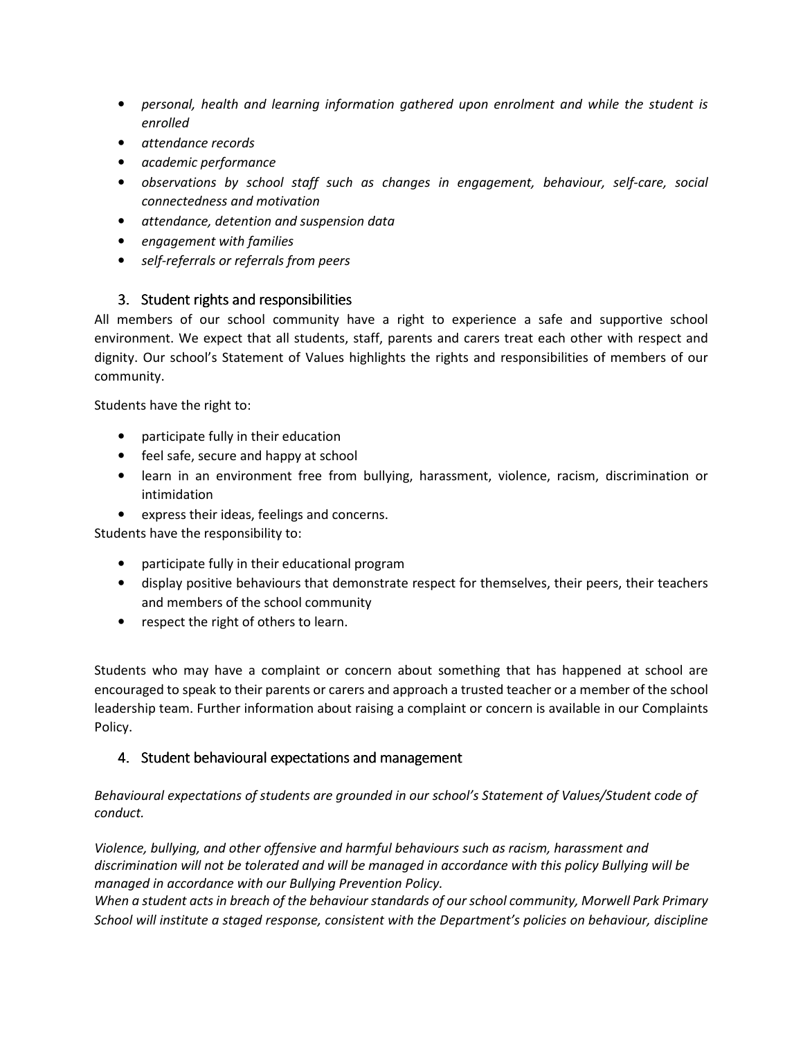- personal, health and learning information gathered upon enrolment and while the student is enrolled
- attendance records
- academic performance
- observations by school staff such as changes in engagement, behaviour, self-care, social connectedness and motivation
- attendance, detention and suspension data
- engagement with families
- self-referrals or referrals from peers

## 3. Student rights and responsibilities

All members of our school community have a right to experience a safe and supportive school environment. We expect that all students, staff, parents and carers treat each other with respect and dignity. Our school's Statement of Values highlights the rights and responsibilities of members of our community.

Students have the right to:

- participate fully in their education
- feel safe, secure and happy at school
- learn in an environment free from bullying, harassment, violence, racism, discrimination or intimidation
- express their ideas, feelings and concerns.

Students have the responsibility to:

- participate fully in their educational program
- display positive behaviours that demonstrate respect for themselves, their peers, their teachers and members of the school community
- respect the right of others to learn.

Students who may have a complaint or concern about something that has happened at school are encouraged to speak to their parents or carers and approach a trusted teacher or a member of the school leadership team. Further information about raising a complaint or concern is available in our Complaints Policy.

## 4. Student behavioural expectations and management

Behavioural expectations of students are grounded in our school's Statement of Values/Student code of conduct.

Violence, bullying, and other offensive and harmful behaviours such as racism, harassment and discrimination will not be tolerated and will be managed in accordance with this policy Bullying will be managed in accordance with our Bullying Prevention Policy.

When a student acts in breach of the behaviour standards of our school community, Morwell Park Primary School will institute a staged response, consistent with the Department's policies on behaviour, discipline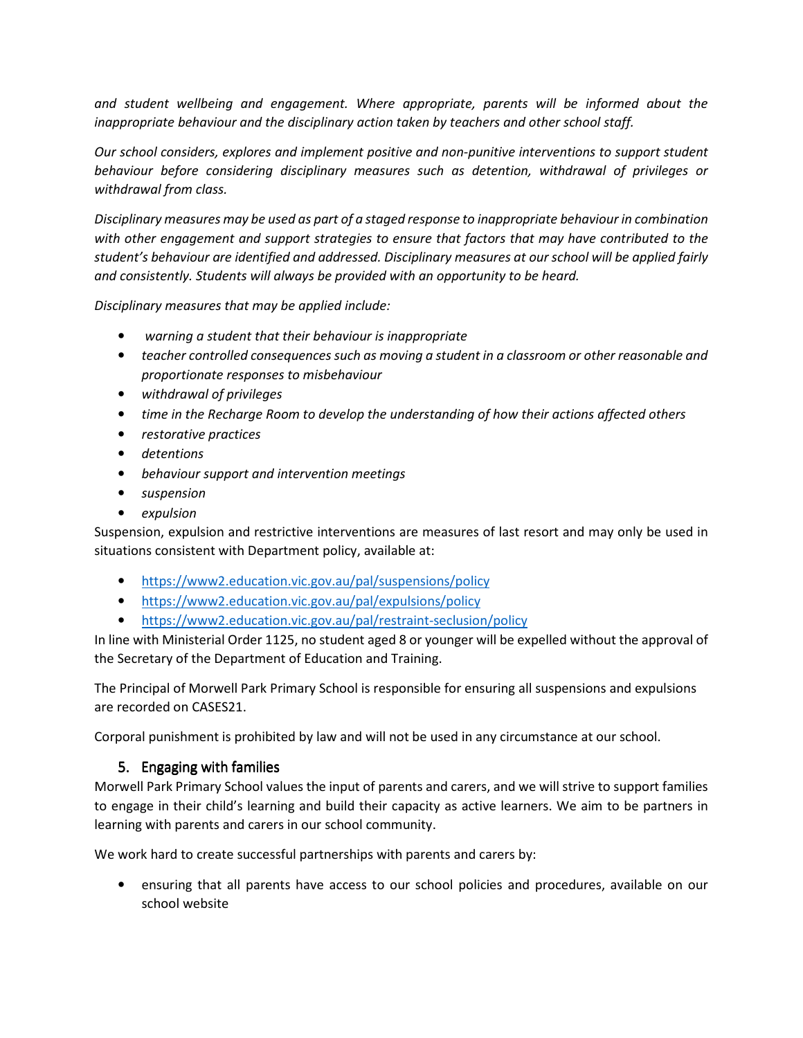and student wellbeing and engagement. Where appropriate, parents will be informed about the inappropriate behaviour and the disciplinary action taken by teachers and other school staff.

Our school considers, explores and implement positive and non-punitive interventions to support student behaviour before considering disciplinary measures such as detention, withdrawal of privileges or withdrawal from class.

Disciplinary measures may be used as part of a staged response to inappropriate behaviour in combination with other engagement and support strategies to ensure that factors that may have contributed to the student's behaviour are identified and addressed. Disciplinary measures at our school will be applied fairly and consistently. Students will always be provided with an opportunity to be heard.

Disciplinary measures that may be applied include:

- warning a student that their behaviour is inappropriate
- teacher controlled consequences such as moving a student in a classroom or other reasonable and proportionate responses to misbehaviour
- withdrawal of privileges
- time in the Recharge Room to develop the understanding of how their actions affected others
- restorative practices
- detentions
- behaviour support and intervention meetings
- suspension
- expulsion

Suspension, expulsion and restrictive interventions are measures of last resort and may only be used in situations consistent with Department policy, available at:

- https://www2.education.vic.gov.au/pal/suspensions/policy
- https://www2.education.vic.gov.au/pal/expulsions/policy
- https://www2.education.vic.gov.au/pal/restraint-seclusion/policy

In line with Ministerial Order 1125, no student aged 8 or younger will be expelled without the approval of the Secretary of the Department of Education and Training.

The Principal of Morwell Park Primary School is responsible for ensuring all suspensions and expulsions are recorded on CASES21.

Corporal punishment is prohibited by law and will not be used in any circumstance at our school.

## 5. Engaging with families

Morwell Park Primary School values the input of parents and carers, and we will strive to support families to engage in their child's learning and build their capacity as active learners. We aim to be partners in learning with parents and carers in our school community.

We work hard to create successful partnerships with parents and carers by:

• ensuring that all parents have access to our school policies and procedures, available on our school website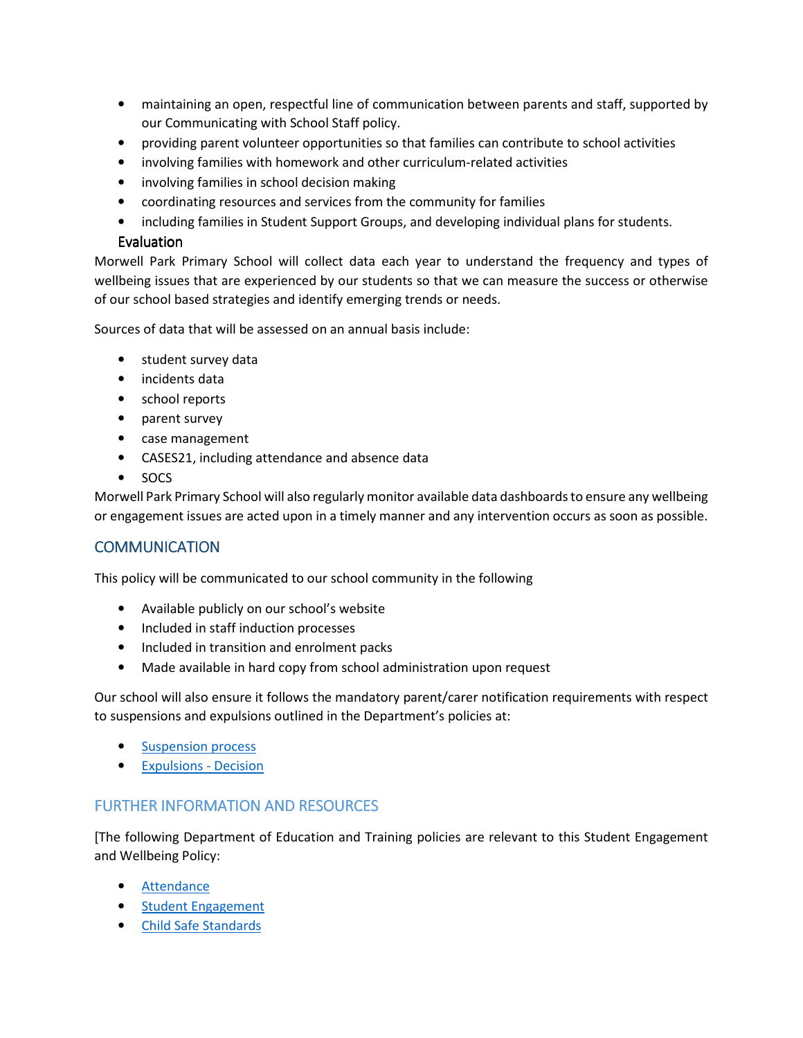- maintaining an open, respectful line of communication between parents and staff, supported by our Communicating with School Staff policy.
- providing parent volunteer opportunities so that families can contribute to school activities
- involving families with homework and other curriculum-related activities
- involving families in school decision making
- coordinating resources and services from the community for families
- including families in Student Support Groups, and developing individual plans for students.

## Evaluation

Morwell Park Primary School will collect data each year to understand the frequency and types of wellbeing issues that are experienced by our students so that we can measure the success or otherwise of our school based strategies and identify emerging trends or needs.

Sources of data that will be assessed on an annual basis include:

- student survey data
- incidents data
- school reports
- parent survey
- case management
- CASES21, including attendance and absence data
- SOCS

Morwell Park Primary School will also regularly monitor available data dashboards to ensure any wellbeing or engagement issues are acted upon in a timely manner and any intervention occurs as soon as possible.

## **COMMUNICATION**

This policy will be communicated to our school community in the following

- Available publicly on our school's website
- Included in staff induction processes
- Included in transition and enrolment packs
- Made available in hard copy from school administration upon request

Our school will also ensure it follows the mandatory parent/carer notification requirements with respect to suspensions and expulsions outlined in the Department's policies at:

- Suspension process
- Expulsions Decision

## FURTHER INFORMATION AND RESOURCES

[The following Department of Education and Training policies are relevant to this Student Engagement and Wellbeing Policy:

- Attendance
- Student Engagement
- Child Safe Standards